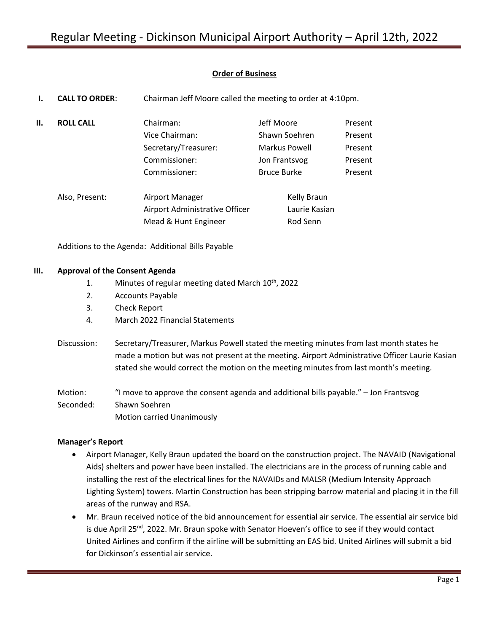# **Order of Business**

|     | <b>CALL TO ORDER:</b> | Chairman Jeff Moore called the meeting to order at 4:10pm.                            |                                                                                     |                                                     |
|-----|-----------------------|---------------------------------------------------------------------------------------|-------------------------------------------------------------------------------------|-----------------------------------------------------|
| II. | <b>ROLL CALL</b>      | Chairman:<br>Vice Chairman:<br>Secretary/Treasurer:<br>Commissioner:<br>Commissioner: | Jeff Moore<br>Shawn Soehren<br>Markus Powell<br>Jon Frantsvog<br><b>Bruce Burke</b> | Present<br>Present<br>Present<br>Present<br>Present |
|     | Also, Present:        | Airport Manager<br>Airport Administrative Officer<br>Mead & Hunt Engineer             | Kelly Braun<br>Laurie Kasian<br>Rod Senn                                            |                                                     |

Additions to the Agenda: Additional Bills Payable

## **III. Approval of the Consent Agenda**

- 1. Minutes of regular meeting dated March  $10^{th}$ , 2022
- 2. Accounts Payable
- 3. Check Report
- 4. March 2022 Financial Statements
- Discussion: Secretary/Treasurer, Markus Powell stated the meeting minutes from last month states he made a motion but was not present at the meeting. Airport Administrative Officer Laurie Kasian stated she would correct the motion on the meeting minutes from last month's meeting.

Motion: "I move to approve the consent agenda and additional bills payable." – Jon Frantsvog Seconded: Shawn Soehren Motion carried Unanimously

## **Manager's Report**

- Airport Manager, Kelly Braun updated the board on the construction project. The NAVAID (Navigational Aids) shelters and power have been installed. The electricians are in the process of running cable and installing the rest of the electrical lines for the NAVAIDs and MALSR (Medium Intensity Approach Lighting System) towers. Martin Construction has been stripping barrow material and placing it in the fill areas of the runway and RSA.
- Mr. Braun received notice of the bid announcement for essential air service. The essential air service bid is due April 25<sup>nd</sup>, 2022. Mr. Braun spoke with Senator Hoeven's office to see if they would contact United Airlines and confirm if the airline will be submitting an EAS bid. United Airlines will submit a bid for Dickinson's essential air service.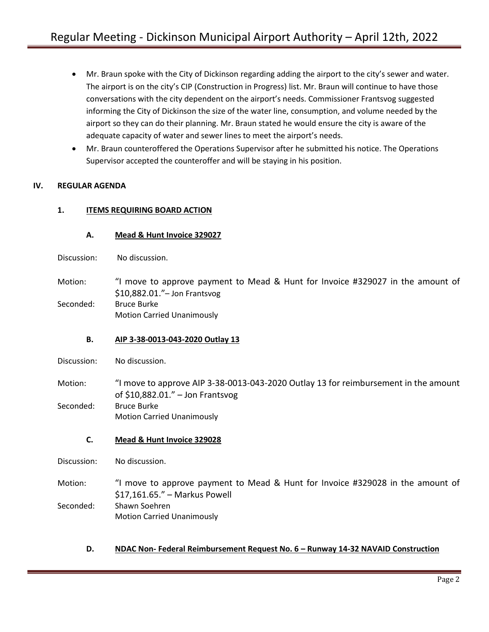- Mr. Braun spoke with the City of Dickinson regarding adding the airport to the city's sewer and water. The airport is on the city's CIP (Construction in Progress) list. Mr. Braun will continue to have those conversations with the city dependent on the airport's needs. Commissioner Frantsvog suggested informing the City of Dickinson the size of the water line, consumption, and volume needed by the airport so they can do their planning. Mr. Braun stated he would ensure the city is aware of the adequate capacity of water and sewer lines to meet the airport's needs.
- Mr. Braun counteroffered the Operations Supervisor after he submitted his notice. The Operations Supervisor accepted the counteroffer and will be staying in his position.

# **IV. REGULAR AGENDA**

## **1. ITEMS REQUIRING BOARD ACTION**

## **A. Mead & Hunt Invoice 329027**

Discussion: No discussion.

Motion: "I move to approve payment to Mead & Hunt for Invoice #329027 in the amount of \$10,882.01."– Jon Frantsvog Seconded: Bruce Burke

Motion Carried Unanimously

## **B. AIP 3-38-0013-043-2020 Outlay 13**

Discussion: No discussion.

Motion: "I move to approve AIP 3-38-0013-043-2020 Outlay 13 for reimbursement in the amount of \$10,882.01." – Jon Frantsvog Seconded: Bruce Burke Motion Carried Unanimously

## **C. Mead & Hunt Invoice 329028**

Discussion: No discussion.

Motion: "I move to approve payment to Mead & Hunt for Invoice #329028 in the amount of \$17,161.65." – Markus Powell Seconded: Shawn Soehren Motion Carried Unanimously

**D. NDAC Non- Federal Reimbursement Request No. 6 – Runway 14-32 NAVAID Construction**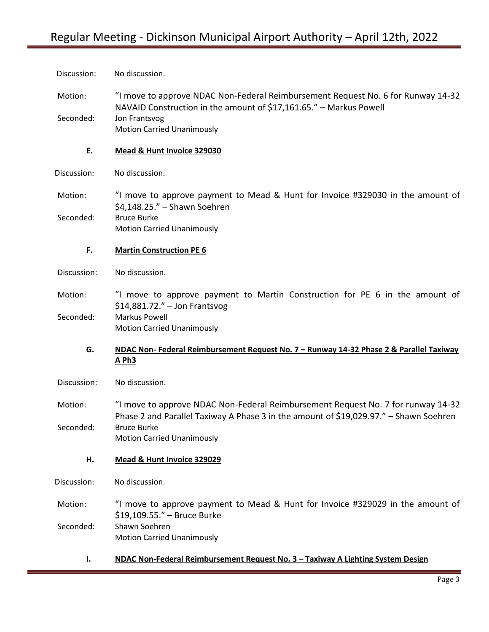| Discussion: | No discussion.                                                                                                                                                            |
|-------------|---------------------------------------------------------------------------------------------------------------------------------------------------------------------------|
| Motion:     | "I move to approve NDAC Non-Federal Reimbursement Request No. 6 for Runway 14-32<br>NAVAID Construction in the amount of \$17,161.65." - Markus Powell                    |
| Seconded:   | Jon Frantsvog<br><b>Motion Carried Unanimously</b>                                                                                                                        |
| E.          | Mead & Hunt Invoice 329030                                                                                                                                                |
| Discussion: | No discussion.                                                                                                                                                            |
| Motion:     | "I move to approve payment to Mead & Hunt for Invoice #329030 in the amount of<br>\$4,148.25." - Shawn Soehren                                                            |
| Seconded:   | <b>Bruce Burke</b><br><b>Motion Carried Unanimously</b>                                                                                                                   |
| F.          | <b>Martin Construction PE 6</b>                                                                                                                                           |
| Discussion: | No discussion.                                                                                                                                                            |
| Motion:     | "I move to approve payment to Martin Construction for PE 6 in the amount of<br>$$14,881.72."$ - Jon Frantsvog                                                             |
| Seconded:   | Markus Powell<br><b>Motion Carried Unanimously</b>                                                                                                                        |
| G.          | NDAC Non- Federal Reimbursement Request No. 7 - Runway 14-32 Phase 2 & Parallel Taxiway<br><b>A Ph3</b>                                                                   |
| Discussion: | No discussion.                                                                                                                                                            |
| Motion:     | "I move to approve NDAC Non-Federal Reimbursement Request No. 7 for runway 14-32<br>Phase 2 and Parallel Taxiway A Phase 3 in the amount of \$19,029.97." - Shawn Soehren |
| Seconded:   | <b>Bruce Burke</b><br><b>Motion Carried Unanimously</b>                                                                                                                   |
| Н.          | Mead & Hunt Invoice 329029                                                                                                                                                |
| Discussion: | No discussion.                                                                                                                                                            |
| Motion:     | "I move to approve payment to Mead & Hunt for Invoice #329029 in the amount of<br>\$19,109.55." - Bruce Burke                                                             |
| Seconded:   | Shawn Soehren<br><b>Motion Carried Unanimously</b>                                                                                                                        |
| Ι.          | NDAC Non-Federal Reimbursement Request No. 3 - Taxiway A Lighting System Design                                                                                           |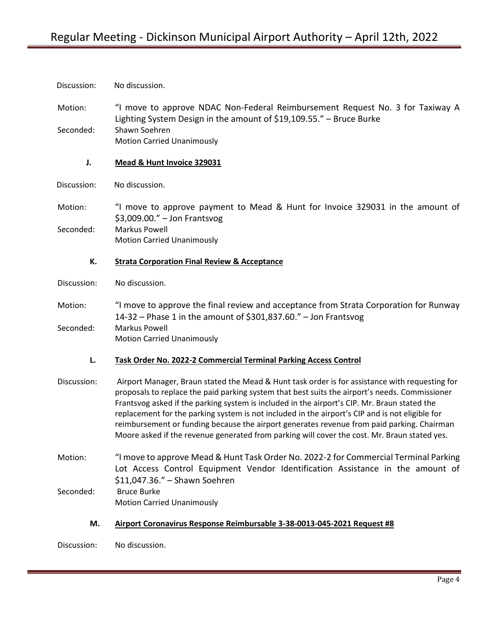Discussion: No discussion.

Motion: "I move to approve NDAC Non-Federal Reimbursement Request No. 3 for Taxiway A Lighting System Design in the amount of \$19,109.55." – Bruce Burke Seconded: Shawn Soehren Motion Carried Unanimously

**J. Mead & Hunt Invoice 329031**

Discussion: No discussion.

Motion: "I move to approve payment to Mead & Hunt for Invoice 329031 in the amount of \$3,009.00." – Jon Frantsvog Seconded: Markus Powell Motion Carried Unanimously

## **K. Strata Corporation Final Review & Acceptance**

Discussion: No discussion.

Motion: "I move to approve the final review and acceptance from Strata Corporation for Runway 14-32 – Phase 1 in the amount of \$301,837.60." – Jon Frantsvog Seconded: Markus Powell Motion Carried Unanimously

**L. Task Order No. 2022-2 Commercial Terminal Parking Access Control**

Discussion: Airport Manager, Braun stated the Mead & Hunt task order is for assistance with requesting for proposals to replace the paid parking system that best suits the airport's needs. Commissioner Frantsvog asked if the parking system is included in the airport's CIP. Mr. Braun stated the replacement for the parking system is not included in the airport's CIP and is not eligible for reimbursement or funding because the airport generates revenue from paid parking. Chairman Moore asked if the revenue generated from parking will cover the cost. Mr. Braun stated yes.

Motion: "I move to approve Mead & Hunt Task Order No. 2022-2 for Commercial Terminal Parking Lot Access Control Equipment Vendor Identification Assistance in the amount of \$11,047.36." – Shawn Soehren Seconded: Bruce Burke

Motion Carried Unanimously

## **M. Airport Coronavirus Response Reimbursable 3-38-0013-045-2021 Request #8**

Discussion: No discussion.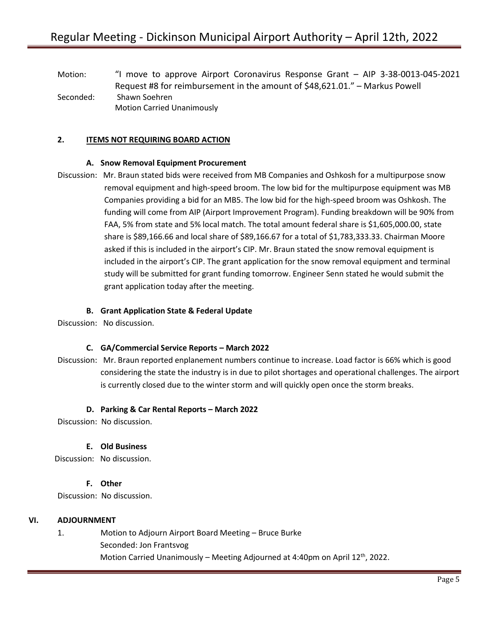Motion: "I move to approve Airport Coronavirus Response Grant – AIP 3-38-0013-045-2021 Request #8 for reimbursement in the amount of \$48,621.01." – Markus Powell Seconded: Shawn Soehren Motion Carried Unanimously

# **2. ITEMS NOT REQUIRING BOARD ACTION**

## **A. Snow Removal Equipment Procurement**

Discussion: Mr. Braun stated bids were received from MB Companies and Oshkosh for a multipurpose snow removal equipment and high-speed broom. The low bid for the multipurpose equipment was MB Companies providing a bid for an MB5. The low bid for the high-speed broom was Oshkosh. The funding will come from AIP (Airport Improvement Program). Funding breakdown will be 90% from FAA, 5% from state and 5% local match. The total amount federal share is \$1,605,000.00, state share is \$89,166.66 and local share of \$89,166.67 for a total of \$1,783,333.33. Chairman Moore asked if this is included in the airport's CIP. Mr. Braun stated the snow removal equipment is included in the airport's CIP. The grant application for the snow removal equipment and terminal study will be submitted for grant funding tomorrow. Engineer Senn stated he would submit the grant application today after the meeting.

#### **B. Grant Application State & Federal Update**

Discussion: No discussion.

## **C. GA/Commercial Service Reports – March 2022**

Discussion: Mr. Braun reported enplanement numbers continue to increase. Load factor is 66% which is good considering the state the industry is in due to pilot shortages and operational challenges. The airport is currently closed due to the winter storm and will quickly open once the storm breaks.

#### **D. Parking & Car Rental Reports – March 2022**

Discussion: No discussion.

## **E. Old Business**

Discussion: No discussion.

## **F. Other**

Discussion: No discussion.

## **VI. ADJOURNMENT**

1. Motion to Adjourn Airport Board Meeting – Bruce Burke Seconded: Jon Frantsvog Motion Carried Unanimously – Meeting Adjourned at 4:40pm on April 12<sup>th</sup>, 2022.